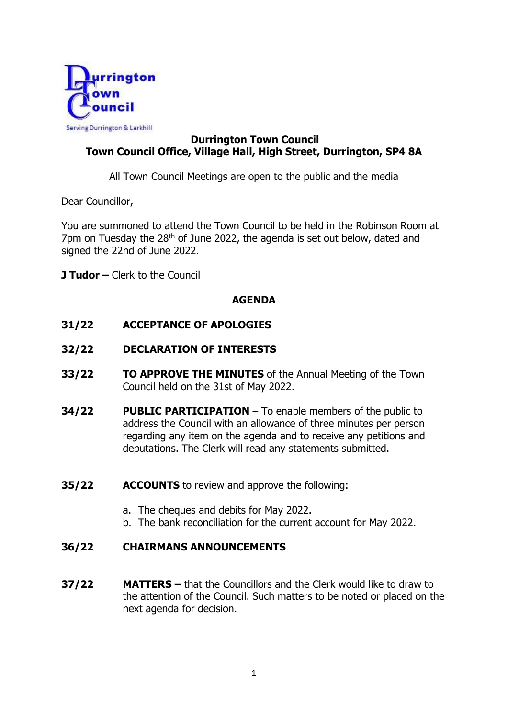

# **Durrington Town Council Town Council Office, Village Hall, High Street, Durrington, SP4 8A**

All Town Council Meetings are open to the public and the media

Dear Councillor,

You are summoned to attend the Town Council to be held in the Robinson Room at 7pm on Tuesday the 28<sup>th</sup> of June 2022, the agenda is set out below, dated and signed the 22nd of June 2022.

**J Tudor –** Clerk to the Council

# **AGENDA**

# **31/22 ACCEPTANCE OF APOLOGIES**

- **32/22 DECLARATION OF INTERESTS**
- **33/22 TO APPROVE THE MINUTES** of the Annual Meeting of the Town Council held on the 31st of May 2022.
- **34/22 PUBLIC PARTICIPATION**  To enable members of the public to address the Council with an allowance of three minutes per person regarding any item on the agenda and to receive any petitions and deputations. The Clerk will read any statements submitted.
- **35/22 ACCOUNTS** to review and approve the following:
	- a. The cheques and debits for May 2022.
	- b. The bank reconciliation for the current account for May 2022.

# **36/22 CHAIRMANS ANNOUNCEMENTS**

**37/22 MATTERS –** that the Councillors and the Clerk would like to draw to the attention of the Council. Such matters to be noted or placed on the next agenda for decision.